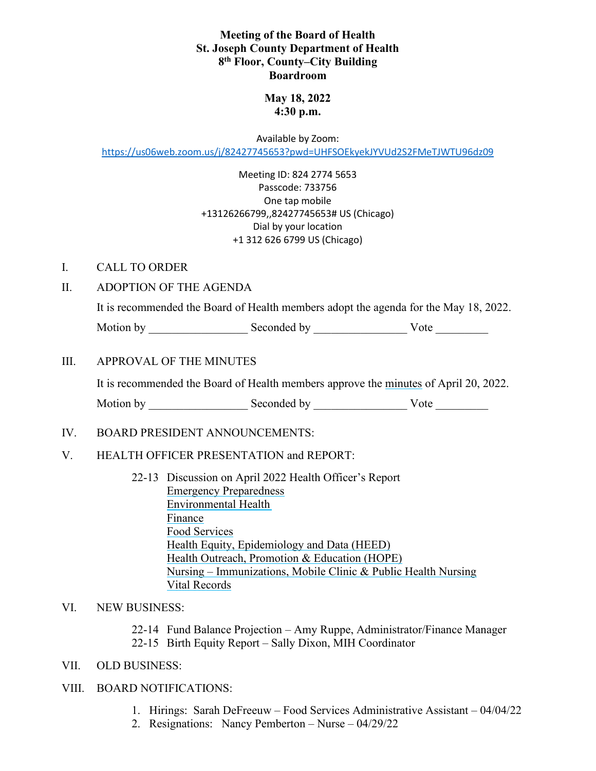## **Meeting of the Board of Health St. Joseph County Department of Health 8th Floor, County–City Building Boardroom**

# **May 18, 2022 4:30 p.m.**

Available by Zoom: <https://us06web.zoom.us/j/82427745653?pwd=UHFSOEkyekJYVUd2S2FMeTJWTU96dz09>

> Meeting ID: 824 2774 5653 Passcode: 733756 One tap mobile +13126266799,,82427745653# US (Chicago) Dial by your location +1 312 626 6799 US (Chicago)

### I. CALL TO ORDER

### II. ADOPTION OF THE AGENDA

It is recommended the Board of Health members adopt the agenda for the May 18, 2022.

Motion by \_\_\_\_\_\_\_\_\_\_\_\_\_\_\_\_\_ Seconded by \_\_\_\_\_\_\_\_\_\_\_\_\_\_\_\_ Vote \_\_\_\_\_\_\_\_\_

### III. APPROVAL OF THE MINUTES

It is recommended the Board of Health members approve the minutes of April 20, 2022.

Motion by \_\_\_\_\_\_\_\_\_\_\_\_\_\_\_\_\_ Seconded by \_\_\_\_\_\_\_\_\_\_\_\_\_\_\_\_ Vote \_\_\_\_\_\_\_\_\_

### IV. BOARD PRESIDENT ANNOUNCEMENTS:

### V. HEALTH OFFICER PRESENTATION and REPORT:

22-13 Discussion on April 2022 Health Officer's Report Emergency Preparedness Environmental Health Finance Food Services Health Equity, Epidemiology and Data (HEED) Health Outreach, Promotion & Education (HOPE) Nursing – Immunizations, Mobile Clinic & Public Health Nursing Vital Records

#### VI. NEW BUSINESS:

22-14 Fund Balance Projection – Amy Ruppe, Administrator/Finance Manager 22-15 Birth Equity Report – Sally Dixon, MIH Coordinator

VII. OLD BUSINESS:

# VIII. BOARD NOTIFICATIONS:

- 1. Hirings: Sarah DeFreeuw Food Services Administrative Assistant 04/04/22
- 2. Resignations: Nancy Pemberton Nurse 04/29/22